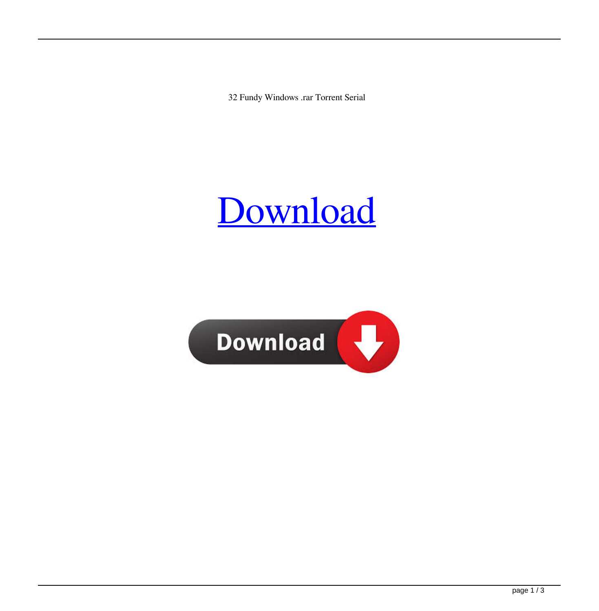32 Fundy Windows .rar Torrent Serial



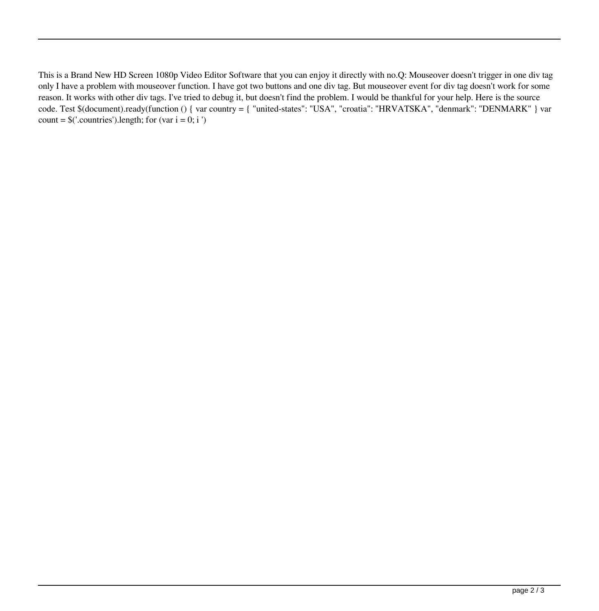This is a Brand New HD Screen 1080p Video Editor Software that you can enjoy it directly with no.Q: Mouseover doesn't trigger in one div tag only I have a problem with mouseover function. I have got two buttons and one div tag. But mouseover event for div tag doesn't work for some reason. It works with other div tags. I've tried to debug it, but doesn't find the problem. I would be thankful for your help. Here is the source code. Test \$(document).ready(function () { var country = { "united-states": "USA", "croatia": "HRVATSKA", "denmark": "DENMARK" } var count =  $\frac{\cosh 2}{\cosh 2}$ . Countries'). length; for (var i = 0; i ')